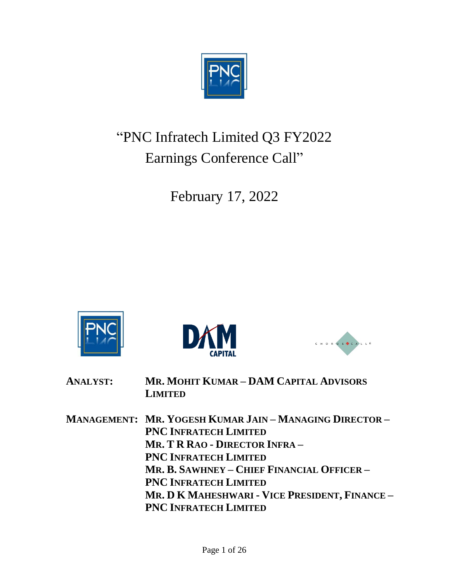

# "PNC Infratech Limited Q3 FY2022 Earnings Conference Call"

February 17, 2022







| <b>ANALYST:</b> | MR. MOHIT KUMAR - DAM CAPITAL ADVISORS<br><b>LIMITED</b>       |
|-----------------|----------------------------------------------------------------|
|                 | <b>MANAGEMENT: MR. YOGESH KUMAR JAIN - MANAGING DIRECTOR -</b> |
|                 | <b>PNC INFRATECH LIMITED</b>                                   |
|                 | MR. T R RAO - DIRECTOR INFRA -                                 |
|                 | <b>PNC INFRATECH LIMITED</b>                                   |
|                 | MR. B. SAWHNEY - CHIEF FINANCIAL OFFICER -                     |
|                 | <b>PNC INFRATECH LIMITED</b>                                   |
|                 | Mr. D K MAHESHWARI - VICE PRESIDENT, FINANCE -                 |
|                 | <b>PNC INFRATECH LIMITED</b>                                   |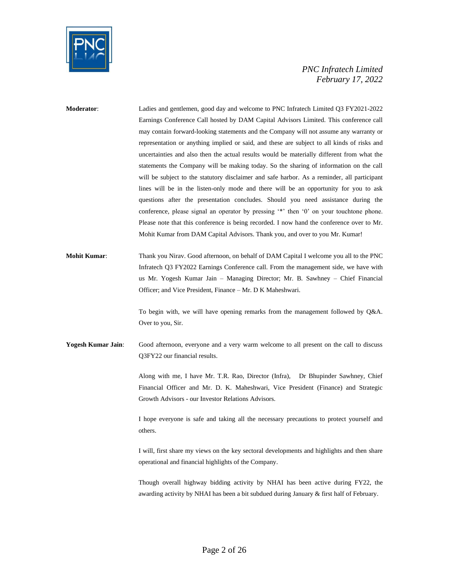

| Moderator:                | Ladies and gentlemen, good day and welcome to PNC Infratech Limited Q3 FY2021-2022<br>Earnings Conference Call hosted by DAM Capital Advisors Limited. This conference call<br>may contain forward-looking statements and the Company will not assume any warranty or<br>representation or anything implied or said, and these are subject to all kinds of risks and<br>uncertainties and also then the actual results would be materially different from what the<br>statements the Company will be making today. So the sharing of information on the call<br>will be subject to the statutory disclaimer and safe harbor. As a reminder, all participant<br>lines will be in the listen-only mode and there will be an opportunity for you to ask<br>questions after the presentation concludes. Should you need assistance during the<br>conference, please signal an operator by pressing '*' then '0' on your touchtone phone.<br>Please note that this conference is being recorded. I now hand the conference over to Mr.<br>Mohit Kumar from DAM Capital Advisors. Thank you, and over to you Mr. Kumar! |
|---------------------------|-------------------------------------------------------------------------------------------------------------------------------------------------------------------------------------------------------------------------------------------------------------------------------------------------------------------------------------------------------------------------------------------------------------------------------------------------------------------------------------------------------------------------------------------------------------------------------------------------------------------------------------------------------------------------------------------------------------------------------------------------------------------------------------------------------------------------------------------------------------------------------------------------------------------------------------------------------------------------------------------------------------------------------------------------------------------------------------------------------------------|
| <b>Mohit Kumar:</b>       | Thank you Nirav. Good afternoon, on behalf of DAM Capital I welcome you all to the PNC<br>Infratech Q3 FY2022 Earnings Conference call. From the management side, we have with<br>us Mr. Yogesh Kumar Jain – Managing Director; Mr. B. Sawhney – Chief Financial<br>Officer; and Vice President, Finance - Mr. D K Maheshwari.<br>To begin with, we will have opening remarks from the management followed by Q&A.<br>Over to you, Sir.                                                                                                                                                                                                                                                                                                                                                                                                                                                                                                                                                                                                                                                                           |
| <b>Yogesh Kumar Jain:</b> | Good afternoon, everyone and a very warm welcome to all present on the call to discuss<br>Q3FY22 our financial results.<br>Along with me, I have Mr. T.R. Rao, Director (Infra), Dr Bhupinder Sawhney, Chief<br>Financial Officer and Mr. D. K. Maheshwari, Vice President (Finance) and Strategic<br>Growth Advisors - our Investor Relations Advisors.<br>I hope everyone is safe and taking all the necessary precautions to protect yourself and<br>others.<br>I will, first share my views on the key sectoral developments and highlights and then share<br>operational and financial highlights of the Company.<br>Though overall highway bidding activity by NHAI has been active during FY22, the                                                                                                                                                                                                                                                                                                                                                                                                        |
|                           | awarding activity by NHAI has been a bit subdued during January & first half of February.                                                                                                                                                                                                                                                                                                                                                                                                                                                                                                                                                                                                                                                                                                                                                                                                                                                                                                                                                                                                                         |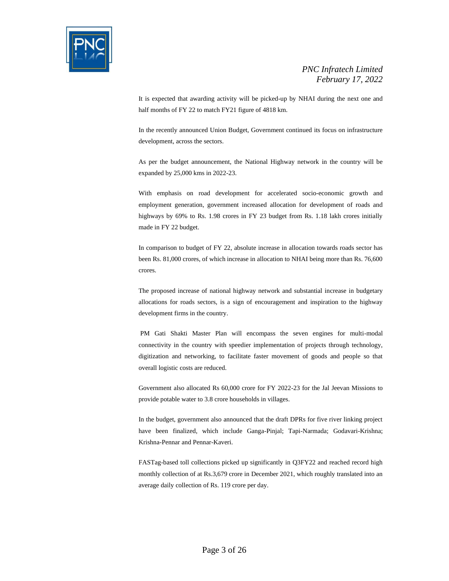

It is expected that awarding activity will be picked-up by NHAI during the next one and half months of FY 22 to match FY21 figure of 4818 km.

In the recently announced Union Budget, Government continued its focus on infrastructure development, across the sectors.

As per the budget announcement, the National Highway network in the country will be expanded by 25,000 kms in 2022-23.

With emphasis on road development for accelerated socio-economic growth and employment generation, government increased allocation for development of roads and highways by 69% to Rs. 1.98 crores in FY 23 budget from Rs. 1.18 lakh crores initially made in FY 22 budget.

In comparison to budget of FY 22, absolute increase in allocation towards roads sector has been Rs. 81,000 crores, of which increase in allocation to NHAI being more than Rs. 76,600 crores.

The proposed increase of national highway network and substantial increase in budgetary allocations for roads sectors, is a sign of encouragement and inspiration to the highway development firms in the country.

PM Gati Shakti Master Plan will encompass the seven engines for multi-modal connectivity in the country with speedier implementation of projects through technology, digitization and networking, to facilitate faster movement of goods and people so that overall logistic costs are reduced.

Government also allocated Rs 60,000 crore for FY 2022-23 for the Jal Jeevan Missions to provide potable water to 3.8 crore households in villages.

In the budget, government also announced that the draft DPRs for five river linking project have been finalized, which include Ganga-Pinjal; Tapi-Narmada; Godavari-Krishna; Krishna-Pennar and Pennar-Kaveri.

FASTag-based toll collections picked up significantly in Q3FY22 and reached record high monthly collection of at Rs.3,679 crore in December 2021, which roughly translated into an average daily collection of Rs. 119 crore per day.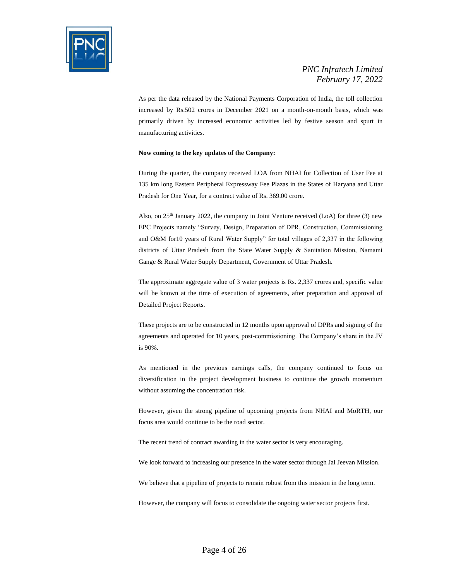

As per the data released by the National Payments Corporation of India, the toll collection increased by Rs.502 crores in December 2021 on a month-on-month basis, which was primarily driven by increased economic activities led by festive season and spurt in manufacturing activities.

#### **Now coming to the key updates of the Company:**

During the quarter, the company received LOA from NHAI for Collection of User Fee at 135 km long Eastern Peripheral Expressway Fee Plazas in the States of Haryana and Uttar Pradesh for One Year, for a contract value of Rs. 369.00 crore.

Also, on 25th January 2022, the company in Joint Venture received (LoA) for three (3) new EPC Projects namely "Survey, Design, Preparation of DPR, Construction, Commissioning and O&M for10 years of Rural Water Supply" for total villages of 2,337 in the following districts of Uttar Pradesh from the State Water Supply & Sanitation Mission, Namami Gange & Rural Water Supply Department, Government of Uttar Pradesh.

The approximate aggregate value of 3 water projects is Rs. 2,337 crores and, specific value will be known at the time of execution of agreements, after preparation and approval of Detailed Project Reports.

These projects are to be constructed in 12 months upon approval of DPRs and signing of the agreements and operated for 10 years, post-commissioning. The Company's share in the JV is 90%.

As mentioned in the previous earnings calls, the company continued to focus on diversification in the project development business to continue the growth momentum without assuming the concentration risk.

However, given the strong pipeline of upcoming projects from NHAI and MoRTH, our focus area would continue to be the road sector.

The recent trend of contract awarding in the water sector is very encouraging.

We look forward to increasing our presence in the water sector through Jal Jeevan Mission.

We believe that a pipeline of projects to remain robust from this mission in the long term.

However, the company will focus to consolidate the ongoing water sector projects first.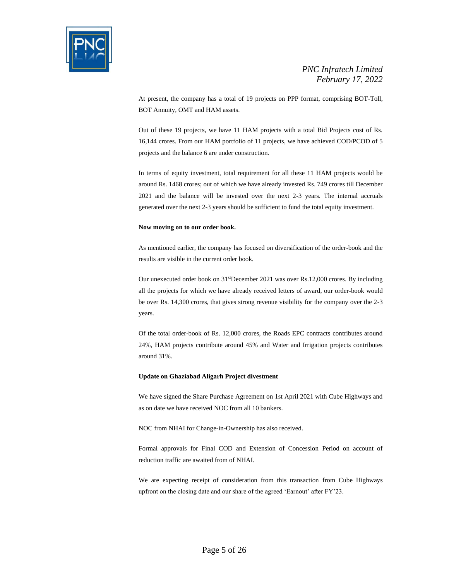

At present, the company has a total of 19 projects on PPP format, comprising BOT-Toll, BOT Annuity, OMT and HAM assets.

Out of these 19 projects, we have 11 HAM projects with a total Bid Projects cost of Rs. 16,144 crores. From our HAM portfolio of 11 projects, we have achieved COD/PCOD of 5 projects and the balance 6 are under construction.

In terms of equity investment, total requirement for all these 11 HAM projects would be around Rs. 1468 crores; out of which we have already invested Rs. 749 crores till December 2021 and the balance will be invested over the next 2-3 years. The internal accruals generated over the next 2-3 years should be sufficient to fund the total equity investment.

#### **Now moving on to our order book.**

As mentioned earlier, the company has focused on diversification of the order-book and the results are visible in the current order book.

Our unexecuted order book on 31<sup>st</sup>December 2021 was over Rs.12,000 crores. By including all the projects for which we have already received letters of award, our order-book would be over Rs. 14,300 crores, that gives strong revenue visibility for the company over the 2-3 years.

Of the total order-book of Rs. 12,000 crores, the Roads EPC contracts contributes around 24%, HAM projects contribute around 45% and Water and Irrigation projects contributes around 31%.

#### **Update on Ghaziabad Aligarh Project divestment**

We have signed the Share Purchase Agreement on 1st April 2021 with Cube Highways and as on date we have received NOC from all 10 bankers.

NOC from NHAI for Change-in-Ownership has also received.

Formal approvals for Final COD and Extension of Concession Period on account of reduction traffic are awaited from of NHAI.

We are expecting receipt of consideration from this transaction from Cube Highways upfront on the closing date and our share of the agreed 'Earnout' after FY'23.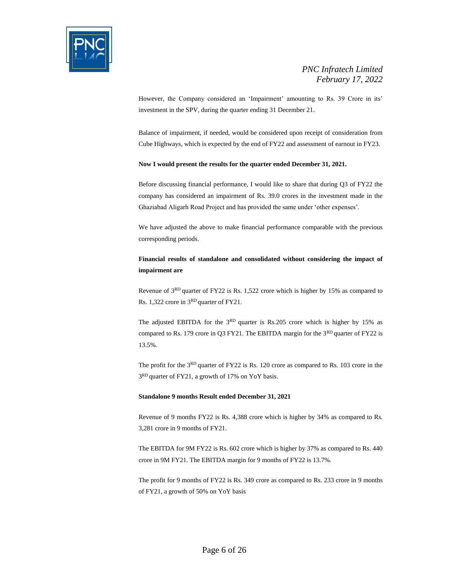

However, the Company considered an 'Impairment' amounting to Rs. 39 Crore in its' investment in the SPV, during the quarter ending 31 December 21.

Balance of impairment, if needed, would be considered upon receipt of consideration from Cube Highways, which is expected by the end of FY22 and assessment of earnout in FY23.

#### **Now I would present the results for the quarter ended December 31, 2021.**

Before discussing financial performance, I would like to share that during Q3 of FY22 the company has considered an impairment of Rs. 39.0 crores in the investment made in the Ghaziabad Aligarh Road Project and has provided the same under 'other expenses'.

We have adjusted the above to make financial performance comparable with the previous corresponding periods.

#### **Financial results of standalone and consolidated without considering the impact of impairment are**

Revenue of 3RD quarter of FY22 is Rs. 1,522 crore which is higher by 15% as compared to Rs. 1,322 crore in 3RD quarter of FY21.

The adjusted EBITDA for the 3<sup>RD</sup> quarter is Rs.205 crore which is higher by 15% as compared to Rs. 179 crore in Q3 FY21. The EBITDA margin for the 3<sup>RD</sup> quarter of FY22 is 13.5%.

The profit for the 3RD quarter of FY22 is Rs. 120 crore as compared to Rs. 103 crore in the 3<sup>RD</sup> quarter of FY21, a growth of 17% on YoY basis.

#### **Standalone 9 months Result ended December 31, 2021**

Revenue of 9 months FY22 is Rs. 4,388 crore which is higher by 34% as compared to Rs. 3,281 crore in 9 months of FY21.

The EBITDA for 9M FY22 is Rs. 602 crore which is higher by 37% as compared to Rs. 440 crore in 9M FY21. The EBITDA margin for 9 months of FY22 is 13.7%.

The profit for 9 months of FY22 is Rs. 349 crore as compared to Rs. 233 crore in 9 months of FY21, a growth of 50% on YoY basis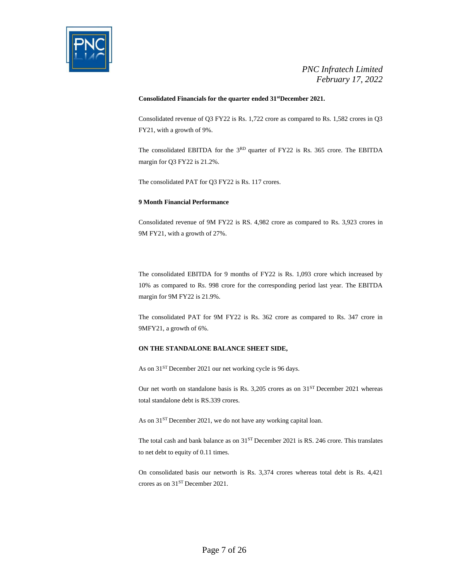

#### **Consolidated Financials for the quarter ended 31stDecember 2021.**

Consolidated revenue of Q3 FY22 is Rs. 1,722 crore as compared to Rs. 1,582 crores in Q3 FY21, with a growth of 9%.

The consolidated EBITDA for the 3RD quarter of FY22 is Rs. 365 crore. The EBITDA margin for Q3 FY22 is 21.2%.

The consolidated PAT for Q3 FY22 is Rs. 117 crores.

#### **9 Month Financial Performance**

Consolidated revenue of 9M FY22 is RS. 4,982 crore as compared to Rs. 3,923 crores in 9M FY21, with a growth of 27%.

The consolidated EBITDA for 9 months of FY22 is Rs. 1,093 crore which increased by 10% as compared to Rs. 998 crore for the corresponding period last year. The EBITDA margin for 9M FY22 is 21.9%.

The consolidated PAT for 9M FY22 is Rs. 362 crore as compared to Rs. 347 crore in 9MFY21, a growth of 6%.

#### **ON THE STANDALONE BALANCE SHEET SIDE,**

As on  $31<sup>ST</sup>$  December 2021 our net working cycle is 96 days.

Our net worth on standalone basis is Rs. 3,205 crores as on 31<sup>ST</sup> December 2021 whereas total standalone debt is RS.339 crores.

As on  $31<sup>ST</sup>$  December 2021, we do not have any working capital loan.

The total cash and bank balance as on  $31<sup>ST</sup>$  December 2021 is RS. 246 crore. This translates to net debt to equity of 0.11 times.

On consolidated basis our networth is Rs. 3,374 crores whereas total debt is Rs. 4,421 crores as on 31ST December 2021.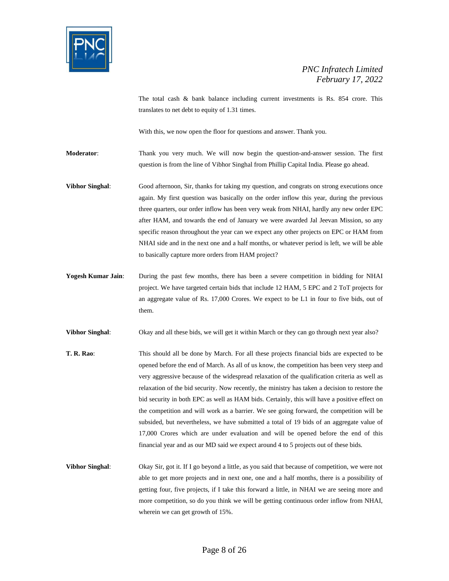

The total cash & bank balance including current investments is Rs. 854 crore. This translates to net debt to equity of 1.31 times.

With this, we now open the floor for questions and answer. Thank you.

**Moderator**: Thank you very much. We will now begin the question-and-answer session. The first question is from the line of Vibhor Singhal from Phillip Capital India. Please go ahead.

**Vibhor Singhal**: Good afternoon, Sir, thanks for taking my question, and congrats on strong executions once again. My first question was basically on the order inflow this year, during the previous three quarters, our order inflow has been very weak from NHAI, hardly any new order EPC after HAM, and towards the end of January we were awarded Jal Jeevan Mission, so any specific reason throughout the year can we expect any other projects on EPC or HAM from NHAI side and in the next one and a half months, or whatever period is left, we will be able to basically capture more orders from HAM project?

**Yogesh Kumar Jain**: During the past few months, there has been a severe competition in bidding for NHAI project. We have targeted certain bids that include 12 HAM, 5 EPC and 2 ToT projects for an aggregate value of Rs. 17,000 Crores. We expect to be L1 in four to five bids, out of them.

**Vibhor Singhal**: Okay and all these bids, we will get it within March or they can go through next year also?

- **T. R. Rao**: This should all be done by March. For all these projects financial bids are expected to be opened before the end of March. As all of us know, the competition has been very steep and very aggressive because of the widespread relaxation of the qualification criteria as well as relaxation of the bid security. Now recently, the ministry has taken a decision to restore the bid security in both EPC as well as HAM bids. Certainly, this will have a positive effect on the competition and will work as a barrier. We see going forward, the competition will be subsided, but nevertheless, we have submitted a total of 19 bids of an aggregate value of 17,000 Crores which are under evaluation and will be opened before the end of this financial year and as our MD said we expect around 4 to 5 projects out of these bids.
- **Vibhor Singhal**: Okay Sir, got it. If I go beyond a little, as you said that because of competition, we were not able to get more projects and in next one, one and a half months, there is a possibility of getting four, five projects, if I take this forward a little, in NHAI we are seeing more and more competition, so do you think we will be getting continuous order inflow from NHAI, wherein we can get growth of 15%.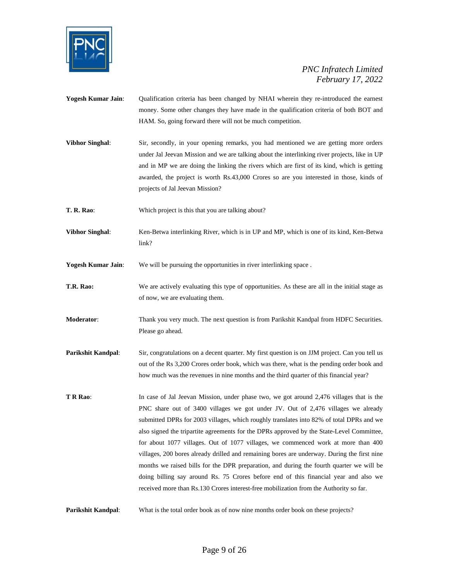

- **Yogesh Kumar Jain**: Qualification criteria has been changed by NHAI wherein they re-introduced the earnest money. Some other changes they have made in the qualification criteria of both BOT and HAM. So, going forward there will not be much competition.
- **Vibhor Singhal:** Sir, secondly, in your opening remarks, you had mentioned we are getting more orders under Jal Jeevan Mission and we are talking about the interlinking river projects, like in UP and in MP we are doing the linking the rivers which are first of its kind, which is getting awarded, the project is worth Rs.43,000 Crores so are you interested in those, kinds of projects of Jal Jeevan Mission?
- **T. R. Rao**: Which project is this that you are talking about?
- **Vibhor Singhal**: Ken-Betwa interlinking River, which is in UP and MP, which is one of its kind, Ken-Betwa link?

**Yogesh Kumar Jain:** We will be pursuing the opportunities in river interlinking space.

- **T.R. Rao:** We are actively evaluating this type of opportunities. As these are all in the initial stage as of now, we are evaluating them.
- **Moderator**: Thank you very much. The next question is from Parikshit Kandpal from HDFC Securities. Please go ahead.
- **Parikshit Kandpal:** Sir, congratulations on a decent quarter. My first question is on JJM project. Can you tell us out of the Rs 3,200 Crores order book, which was there, what is the pending order book and how much was the revenues in nine months and the third quarter of this financial year?
- **T R Rao:** In case of Jal Jeevan Mission, under phase two, we got around 2,476 villages that is the PNC share out of 3400 villages we got under JV. Out of 2,476 villages we already submitted DPRs for 2003 villages, which roughly translates into 82% of total DPRs and we also signed the tripartite agreements for the DPRs approved by the State-Level Committee, for about 1077 villages. Out of 1077 villages, we commenced work at more than 400 villages, 200 bores already drilled and remaining bores are underway. During the first nine months we raised bills for the DPR preparation, and during the fourth quarter we will be doing billing say around Rs. 75 Crores before end of this financial year and also we received more than Rs.130 Crores interest-free mobilization from the Authority so far.

**Parikshit Kandpal:** What is the total order book as of now nine months order book on these projects?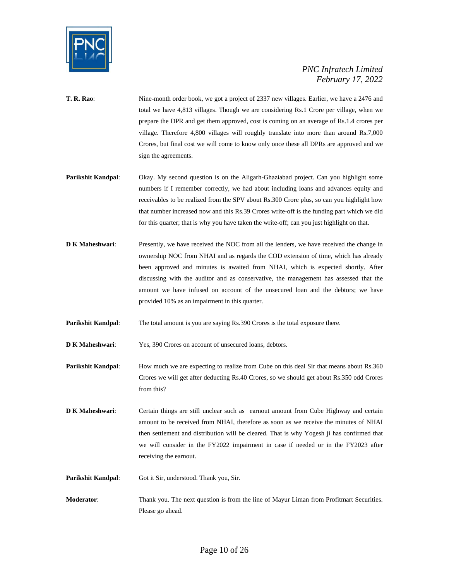

- **T. R. Rao**: Nine-month order book, we got a project of 2337 new villages. Earlier, we have a 2476 and total we have 4,813 villages. Though we are considering Rs.1 Crore per village, when we prepare the DPR and get them approved, cost is coming on an average of Rs.1.4 crores per village. Therefore 4,800 villages will roughly translate into more than around Rs.7,000 Crores, but final cost we will come to know only once these all DPRs are approved and we sign the agreements.
- **Parikshit Kandpal**: Okay. My second question is on the Aligarh-Ghaziabad project. Can you highlight some numbers if I remember correctly, we had about including loans and advances equity and receivables to be realized from the SPV about Rs.300 Crore plus, so can you highlight how that number increased now and this Rs.39 Crores write-off is the funding part which we did for this quarter; that is why you have taken the write-off; can you just highlight on that.
- **D K Maheshwari:** Presently, we have received the NOC from all the lenders, we have received the change in ownership NOC from NHAI and as regards the COD extension of time, which has already been approved and minutes is awaited from NHAI, which is expected shortly. After discussing with the auditor and as conservative, the management has assessed that the amount we have infused on account of the unsecured loan and the debtors; we have provided 10% as an impairment in this quarter.
- **Parikshit Kandpal:** The total amount is you are saying Rs.390 Crores is the total exposure there.

**D K Maheshwari:** Yes, 390 Crores on account of unsecured loans, debtors.

**Parikshit Kandpal:** How much we are expecting to realize from Cube on this deal Sir that means about Rs.360 Crores we will get after deducting Rs.40 Crores, so we should get about Rs.350 odd Crores from this?

- **D K Maheshwari:** Certain things are still unclear such as earnout amount from Cube Highway and certain amount to be received from NHAI, therefore as soon as we receive the minutes of NHAI then settlement and distribution will be cleared. That is why Yogesh ji has confirmed that we will consider in the FY2022 impairment in case if needed or in the FY2023 after receiving the earnout.
- Parikshit Kandpal: Got it Sir, understood. Thank you, Sir.
- **Moderator**: Thank you. The next question is from the line of Mayur Liman from Profitmart Securities. Please go ahead.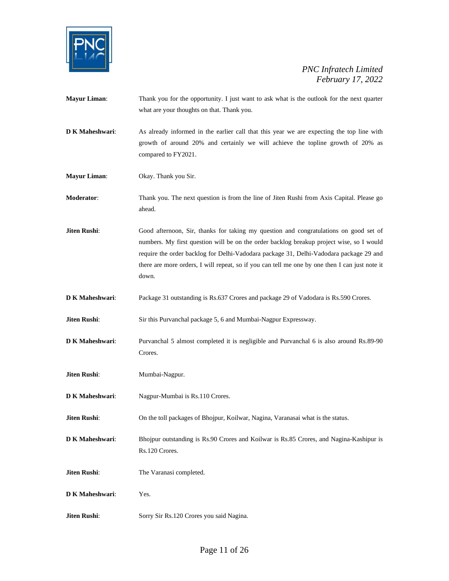

| <b>Mayur Liman:</b> | Thank you for the opportunity. I just want to ask what is the outlook for the next quarter<br>what are your thoughts on that. Thank you.                                                                                                                                                                                                                                               |
|---------------------|----------------------------------------------------------------------------------------------------------------------------------------------------------------------------------------------------------------------------------------------------------------------------------------------------------------------------------------------------------------------------------------|
| D K Maheshwari:     | As already informed in the earlier call that this year we are expecting the top line with<br>growth of around 20% and certainly we will achieve the topline growth of 20% as<br>compared to FY2021.                                                                                                                                                                                    |
| <b>Mayur Liman:</b> | Okay. Thank you Sir.                                                                                                                                                                                                                                                                                                                                                                   |
| Moderator:          | Thank you. The next question is from the line of Jiten Rushi from Axis Capital. Please go<br>ahead.                                                                                                                                                                                                                                                                                    |
| Jiten Rushi:        | Good afternoon, Sir, thanks for taking my question and congratulations on good set of<br>numbers. My first question will be on the order backlog breakup project wise, so I would<br>require the order backlog for Delhi-Vadodara package 31, Delhi-Vadodara package 29 and<br>there are more orders, I will repeat, so if you can tell me one by one then I can just note it<br>down. |
| D K Maheshwari:     | Package 31 outstanding is Rs.637 Crores and package 29 of Vadodara is Rs.590 Crores.                                                                                                                                                                                                                                                                                                   |
| Jiten Rushi:        | Sir this Purvanchal package 5, 6 and Mumbai-Nagpur Expressway.                                                                                                                                                                                                                                                                                                                         |
| D K Maheshwari:     | Purvanchal 5 almost completed it is negligible and Purvanchal 6 is also around Rs.89-90<br>Crores.                                                                                                                                                                                                                                                                                     |
| Jiten Rushi:        | Mumbai-Nagpur.                                                                                                                                                                                                                                                                                                                                                                         |
| D K Maheshwari:     | Nagpur-Mumbai is Rs.110 Crores.                                                                                                                                                                                                                                                                                                                                                        |
| Jiten Rushi:        | On the toll packages of Bhojpur, Koilwar, Nagina, Varanasai what is the status.                                                                                                                                                                                                                                                                                                        |
| D K Maheshwari:     | Bhojpur outstanding is Rs.90 Crores and Koilwar is Rs.85 Crores, and Nagina-Kashipur is<br>Rs.120 Crores.                                                                                                                                                                                                                                                                              |
| Jiten Rushi:        | The Varanasi completed.                                                                                                                                                                                                                                                                                                                                                                |
| D K Maheshwari:     | Yes.                                                                                                                                                                                                                                                                                                                                                                                   |
| Jiten Rushi:        | Sorry Sir Rs.120 Crores you said Nagina.                                                                                                                                                                                                                                                                                                                                               |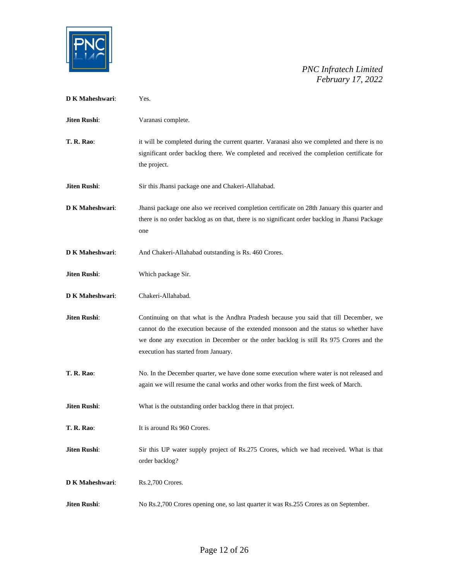

| <b>D K Maheshwari:</b> | Yes.                                                                                                                                                                                                                                                                                                            |
|------------------------|-----------------------------------------------------------------------------------------------------------------------------------------------------------------------------------------------------------------------------------------------------------------------------------------------------------------|
| <b>Jiten Rushi:</b>    | Varanasi complete.                                                                                                                                                                                                                                                                                              |
| <b>T. R. Rao:</b>      | it will be completed during the current quarter. Varanasi also we completed and there is no<br>significant order backlog there. We completed and received the completion certificate for<br>the project.                                                                                                        |
| <b>Jiten Rushi:</b>    | Sir this Jhansi package one and Chakeri-Allahabad.                                                                                                                                                                                                                                                              |
| <b>D K Maheshwari:</b> | Jhansi package one also we received completion certificate on 28th January this quarter and<br>there is no order backlog as on that, there is no significant order backlog in Jhansi Package<br>one                                                                                                             |
| <b>D K Maheshwari:</b> | And Chakeri-Allahabad outstanding is Rs. 460 Crores.                                                                                                                                                                                                                                                            |
| Jiten Rushi:           | Which package Sir.                                                                                                                                                                                                                                                                                              |
| <b>D K Maheshwari:</b> | Chakeri-Allahabad.                                                                                                                                                                                                                                                                                              |
| Jiten Rushi:           | Continuing on that what is the Andhra Pradesh because you said that till December, we<br>cannot do the execution because of the extended monsoon and the status so whether have<br>we done any execution in December or the order backlog is still Rs 975 Crores and the<br>execution has started from January. |
| <b>T. R. Rao:</b>      | No. In the December quarter, we have done some execution where water is not released and<br>again we will resume the canal works and other works from the first week of March.                                                                                                                                  |
| Jiten Rushi:           | What is the outstanding order backlog there in that project.                                                                                                                                                                                                                                                    |
| T. R. Rao:             | It is around Rs 960 Crores.                                                                                                                                                                                                                                                                                     |
| Jiten Rushi:           | Sir this UP water supply project of Rs.275 Crores, which we had received. What is that<br>order backlog?                                                                                                                                                                                                        |
| D K Maheshwari:        | Rs.2,700 Crores.                                                                                                                                                                                                                                                                                                |
| Jiten Rushi:           | No Rs.2,700 Crores opening one, so last quarter it was Rs.255 Crores as on September.                                                                                                                                                                                                                           |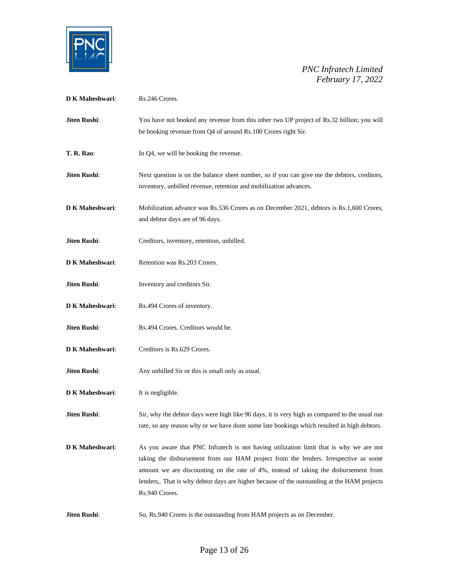

| D K Maheshwari:        | Rs.246 Crores.                                                                                                                                                                                                                                                                                                                                                                         |
|------------------------|----------------------------------------------------------------------------------------------------------------------------------------------------------------------------------------------------------------------------------------------------------------------------------------------------------------------------------------------------------------------------------------|
| Jiten Rushi:           | You have not booked any revenue from this other two UP project of Rs.32 billion; you will<br>be booking revenue from Q4 of around Rs.100 Crores right Sir.                                                                                                                                                                                                                             |
| <b>T. R. Rao:</b>      | In Q4, we will be booking the revenue.                                                                                                                                                                                                                                                                                                                                                 |
| Jiten Rushi:           | Next question is on the balance sheet number, so if you can give me the debtors, creditors,<br>inventory, unbilled revenue, retention and mobilization advances.                                                                                                                                                                                                                       |
| <b>D K Maheshwari:</b> | Mobilization advance was Rs.536 Crores as on December 2021, debtors is Rs.1,600 Crores,<br>and debtor days are of 96 days.                                                                                                                                                                                                                                                             |
| Jiten Rushi:           | Creditors, inventory, retention, unbilled.                                                                                                                                                                                                                                                                                                                                             |
| <b>D K Maheshwari:</b> | Retention was Rs.203 Crores.                                                                                                                                                                                                                                                                                                                                                           |
| Jiten Rushi:           | Inventory and creditors Sir.                                                                                                                                                                                                                                                                                                                                                           |
| D K Maheshwari:        | Rs.494 Crores of inventory.                                                                                                                                                                                                                                                                                                                                                            |
| Jiten Rushi:           | Rs.494 Crores. Creditors would be.                                                                                                                                                                                                                                                                                                                                                     |
| D K Maheshwari:        | Creditors is Rs.629 Crores.                                                                                                                                                                                                                                                                                                                                                            |
| Jiten Rushi:           | Any unbilled Sir or this is small only as usual.                                                                                                                                                                                                                                                                                                                                       |
| <b>D K Maheshwari:</b> | It is negligible.                                                                                                                                                                                                                                                                                                                                                                      |
| Jiten Rushi:           | Sir, why the debtor days were high like 96 days, it is very high as compared to the usual run<br>rate, so any reason why or we have done some late bookings which resulted in high debtors.                                                                                                                                                                                            |
| <b>D K Maheshwari:</b> | As you aware that PNC Infratech is not having utilization limit that is why we are not<br>taking the disbursement from our HAM project from the lenders. Irrespective as some<br>amount we are discounting on the rate of 4%, instead of taking the disbursement from<br>lenders,. That is why debtor days are higher because of the outstanding at the HAM projects<br>Rs.940 Crores. |
| Jiten Rushi:           | So, Rs.940 Crores is the outstanding from HAM projects as on December.                                                                                                                                                                                                                                                                                                                 |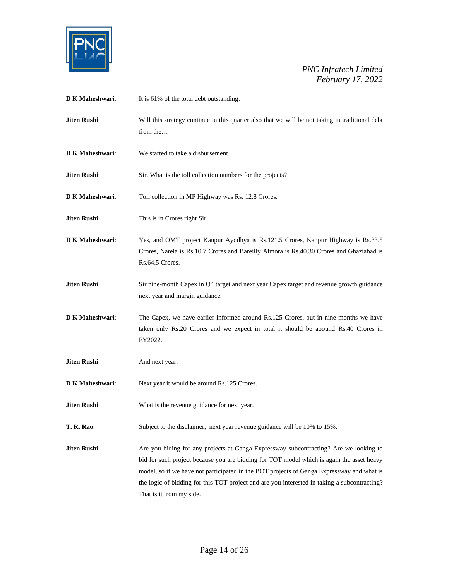

| D K Maheshwari:     | It is 61% of the total debt outstanding.                                                                                                                                                                                                                                                                                                                                                                    |
|---------------------|-------------------------------------------------------------------------------------------------------------------------------------------------------------------------------------------------------------------------------------------------------------------------------------------------------------------------------------------------------------------------------------------------------------|
| Jiten Rushi:        | Will this strategy continue in this quarter also that we will be not taking in traditional debt<br>from the                                                                                                                                                                                                                                                                                                 |
| D K Maheshwari:     | We started to take a disbursement.                                                                                                                                                                                                                                                                                                                                                                          |
| <b>Jiten Rushi:</b> | Sir. What is the toll collection numbers for the projects?                                                                                                                                                                                                                                                                                                                                                  |
| D K Maheshwari:     | Toll collection in MP Highway was Rs. 12.8 Crores.                                                                                                                                                                                                                                                                                                                                                          |
| Jiten Rushi:        | This is in Crores right Sir.                                                                                                                                                                                                                                                                                                                                                                                |
| D K Maheshwari:     | Yes, and OMT project Kanpur Ayodhya is Rs.121.5 Crores, Kanpur Highway is Rs.33.5<br>Crores, Narela is Rs.10.7 Crores and Bareilly Almora is Rs.40.30 Crores and Ghaziabad is<br>Rs.64.5 Crores.                                                                                                                                                                                                            |
| Jiten Rushi:        | Sir nine-month Capex in Q4 target and next year Capex target and revenue growth guidance<br>next year and margin guidance.                                                                                                                                                                                                                                                                                  |
| D K Maheshwari:     | The Capex, we have earlier informed around Rs.125 Crores, but in nine months we have<br>taken only Rs.20 Crores and we expect in total it should be aoound Rs.40 Crores in<br>FY2022.                                                                                                                                                                                                                       |
| Jiten Rushi:        | And next year.                                                                                                                                                                                                                                                                                                                                                                                              |
| D K Maheshwari:     | Next year it would be around Rs.125 Crores.                                                                                                                                                                                                                                                                                                                                                                 |
| Jiten Rushi:        | What is the revenue guidance for next year.                                                                                                                                                                                                                                                                                                                                                                 |
| <b>T. R. Rao:</b>   | Subject to the disclaimer, next year revenue guidance will be 10% to 15%.                                                                                                                                                                                                                                                                                                                                   |
| Jiten Rushi:        | Are you biding for any projects at Ganga Expressway subcontracting? Are we looking to<br>bid for such project because you are bidding for TOT model which is again the asset heavy<br>model, so if we have not participated in the BOT projects of Ganga Expressway and what is<br>the logic of bidding for this TOT project and are you interested in taking a subcontracting?<br>That is it from my side. |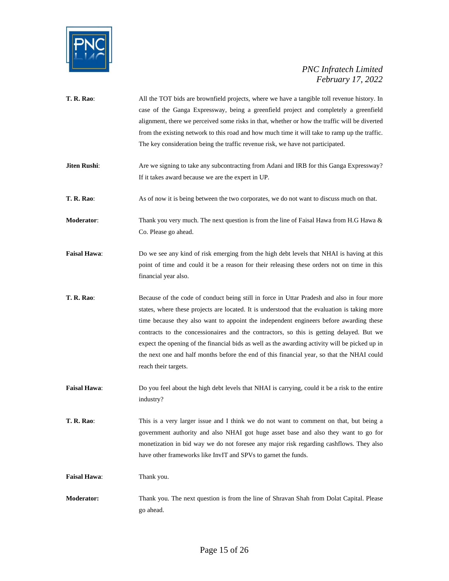

| <b>T. R. Rao:</b>   | All the TOT bids are brownfield projects, where we have a tangible toll revenue history. In<br>case of the Ganga Expressway, being a greenfield project and completely a greenfield<br>alignment, there we perceived some risks in that, whether or how the traffic will be diverted<br>from the existing network to this road and how much time it will take to ramp up the traffic.<br>The key consideration being the traffic revenue risk, we have not participated.                                                                                                                                  |
|---------------------|-----------------------------------------------------------------------------------------------------------------------------------------------------------------------------------------------------------------------------------------------------------------------------------------------------------------------------------------------------------------------------------------------------------------------------------------------------------------------------------------------------------------------------------------------------------------------------------------------------------|
| Jiten Rushi:        | Are we signing to take any subcontracting from Adani and IRB for this Ganga Expressway?<br>If it takes award because we are the expert in UP.                                                                                                                                                                                                                                                                                                                                                                                                                                                             |
| T. R. Rao:          | As of now it is being between the two corporates, we do not want to discuss much on that.                                                                                                                                                                                                                                                                                                                                                                                                                                                                                                                 |
| Moderator:          | Thank you very much. The next question is from the line of Faisal Hawa from H.G Hawa $\&$<br>Co. Please go ahead.                                                                                                                                                                                                                                                                                                                                                                                                                                                                                         |
| <b>Faisal Hawa:</b> | Do we see any kind of risk emerging from the high debt levels that NHAI is having at this<br>point of time and could it be a reason for their releasing these orders not on time in this<br>financial year also.                                                                                                                                                                                                                                                                                                                                                                                          |
| <b>T. R. Rao:</b>   | Because of the code of conduct being still in force in Uttar Pradesh and also in four more<br>states, where these projects are located. It is understood that the evaluation is taking more<br>time because they also want to appoint the independent engineers before awarding these<br>contracts to the concessionaires and the contractors, so this is getting delayed. But we<br>expect the opening of the financial bids as well as the awarding activity will be picked up in<br>the next one and half months before the end of this financial year, so that the NHAI could<br>reach their targets. |
| <b>Faisal Hawa:</b> | Do you feel about the high debt levels that NHAI is carrying, could it be a risk to the entire<br>industry?                                                                                                                                                                                                                                                                                                                                                                                                                                                                                               |
| T. R. Rao:          | This is a very larger issue and I think we do not want to comment on that, but being a<br>government authority and also NHAI got huge asset base and also they want to go for<br>monetization in bid way we do not foresee any major risk regarding cashflows. They also<br>have other frameworks like InvIT and SPVs to garnet the funds.                                                                                                                                                                                                                                                                |
| <b>Faisal Hawa:</b> | Thank you.                                                                                                                                                                                                                                                                                                                                                                                                                                                                                                                                                                                                |
| <b>Moderator:</b>   | Thank you. The next question is from the line of Shravan Shah from Dolat Capital. Please<br>go ahead.                                                                                                                                                                                                                                                                                                                                                                                                                                                                                                     |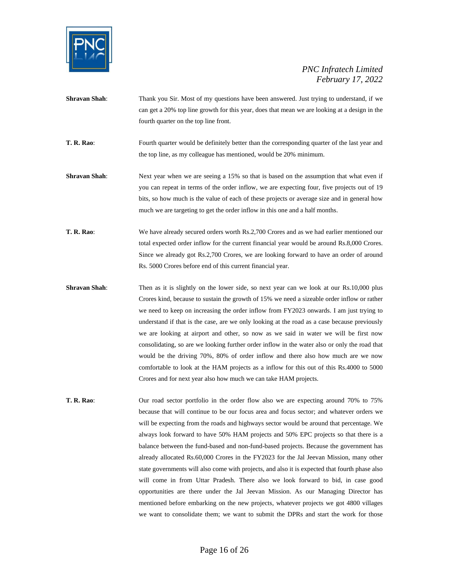

- **Shravan Shah:** Thank you Sir. Most of my questions have been answered. Just trying to understand, if we can get a 20% top line growth for this year, does that mean we are looking at a design in the fourth quarter on the top line front.
- **T. R. Rao:** Fourth quarter would be definitely better than the corresponding quarter of the last year and the top line, as my colleague has mentioned, would be 20% minimum.
- **Shravan Shah**: Next year when we are seeing a 15% so that is based on the assumption that what even if you can repeat in terms of the order inflow, we are expecting four, five projects out of 19 bits, so how much is the value of each of these projects or average size and in general how much we are targeting to get the order inflow in this one and a half months.
- **T. R. Rao**: We have already secured orders worth Rs.2,700 Crores and as we had earlier mentioned our total expected order inflow for the current financial year would be around Rs.8,000 Crores. Since we already got Rs.2,700 Crores, we are looking forward to have an order of around Rs. 5000 Crores before end of this current financial year.
- **Shravan Shah**: Then as it is slightly on the lower side, so next year can we look at our Rs.10,000 plus Crores kind, because to sustain the growth of 15% we need a sizeable order inflow or rather we need to keep on increasing the order inflow from FY2023 onwards. I am just trying to understand if that is the case, are we only looking at the road as a case because previously we are looking at airport and other, so now as we said in water we will be first now consolidating, so are we looking further order inflow in the water also or only the road that would be the driving 70%, 80% of order inflow and there also how much are we now comfortable to look at the HAM projects as a inflow for this out of this Rs.4000 to 5000 Crores and for next year also how much we can take HAM projects.
- **T. R. Rao:** Our road sector portfolio in the order flow also we are expecting around 70% to 75% because that will continue to be our focus area and focus sector; and whatever orders we will be expecting from the roads and highways sector would be around that percentage. We always look forward to have 50% HAM projects and 50% EPC projects so that there is a balance between the fund-based and non-fund-based projects. Because the government has already allocated Rs.60,000 Crores in the FY2023 for the Jal Jeevan Mission, many other state governments will also come with projects, and also it is expected that fourth phase also will come in from Uttar Pradesh. There also we look forward to bid, in case good opportunities are there under the Jal Jeevan Mission. As our Managing Director has mentioned before embarking on the new projects, whatever projects we got 4800 villages we want to consolidate them; we want to submit the DPRs and start the work for those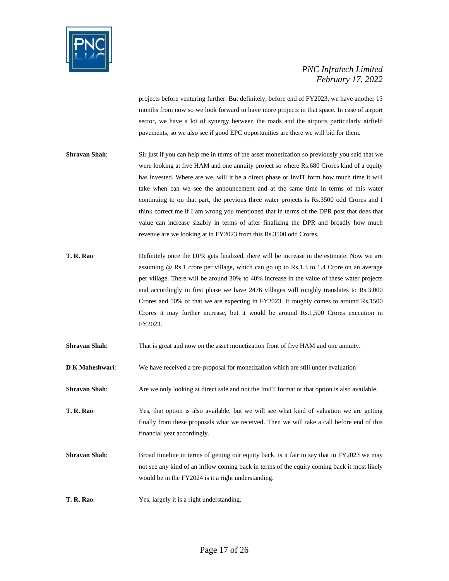

projects before venturing further. But definitely, before end of FY2023, we have another 13 months from now so we look forward to have more projects in that space. In case of airport sector, we have a lot of synergy between the roads and the airports particularly airfield pavements, so we also see if good EPC opportunities are there we will bid for them.

- **Shravan Shah:** Sir just if you can help me in terms of the asset monetization so previously you said that we were looking at five HAM and one annuity project so where Rs.680 Crores kind of a equity has invested. Where are we, will it be a direct phase or InvIT form how much time it will take when can we see the announcement and at the same time in terms of this water continuing to on that part, the previous three water projects is Rs.3500 odd Crores and I think correct me if I am wrong you mentioned that in terms of the DPR post that does that value can increase sizably in terms of after finalizing the DPR and broadly how much revenue are we looking at in FY2023 from this Rs.3500 odd Crores.
- **T. R. Rao**: Definitely once the DPR gets finalized, there will be increase in the estimate. Now we are assuming @ Rs.1 crore per village, which can go up to Rs.1.3 to 1.4 Crore on an average per village. There will be around 30% to 40% increase in the value of these water projects and accordingly in first phase we have 2476 villages will roughly translates to Rs.3,000 Crores and 50% of that we are expecting in FY2023. It roughly comes to around Rs.1500 Crores it may further increase, but it would be around Rs.1,500 Crores execution in FY2023.
- **Shravan Shah:** That is great and now on the asset monetization front of five HAM and one annuity.
- **D K Maheshwari:** We have received a pre-proposal for monetization which are still under evaluation
- **Shravan Shah**: Are we only looking at direct sale and not the InvIT format or that option is also available.
- **T. R. Rao**: Yes, that option is also available, but we will see what kind of valuation we are getting finally from these proposals what we received. Then we will take a call before end of this financial year accordingly.
- **Shravan Shah**: Broad timeline in terms of getting our equity back, is it fair to say that in FY2023 we may not see any kind of an inflow coming back in terms of the equity coming back it most likely would be in the FY2024 is it a right understanding.
- **T. R. Rao**: Yes, largely it is a right understanding.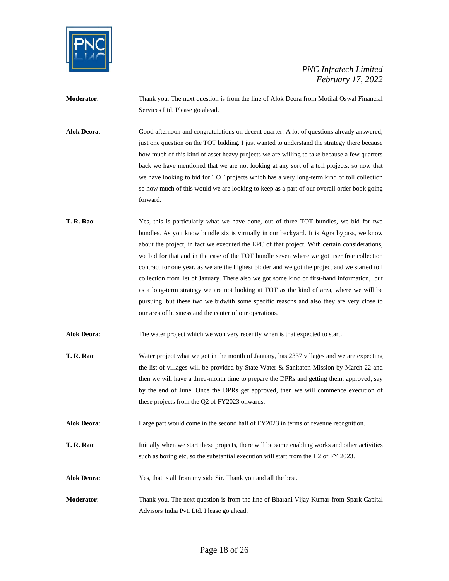

**Moderator**: Thank you. The next question is from the line of Alok Deora from Motilal Oswal Financial Services Ltd. Please go ahead.

**Alok Deora**: Good afternoon and congratulations on decent quarter. A lot of questions already answered, just one question on the TOT bidding. I just wanted to understand the strategy there because how much of this kind of asset heavy projects we are willing to take because a few quarters back we have mentioned that we are not looking at any sort of a toll projects, so now that we have looking to bid for TOT projects which has a very long-term kind of toll collection so how much of this would we are looking to keep as a part of our overall order book going forward.

**T. R. Rao**: Yes, this is particularly what we have done, out of three TOT bundles, we bid for two bundles. As you know bundle six is virtually in our backyard. It is Agra bypass, we know about the project, in fact we executed the EPC of that project. With certain considerations, we bid for that and in the case of the TOT bundle seven where we got user free collection contract for one year, as we are the highest bidder and we got the project and we started toll collection from 1st of January. There also we got some kind of first-hand information, but as a long-term strategy we are not looking at TOT as the kind of area, where we will be pursuing, but these two we bidwith some specific reasons and also they are very close to our area of business and the center of our operations.

**Alok Deora**: The water project which we won very recently when is that expected to start.

- **T. R. Rao**: Water project what we got in the month of January, has 2337 villages and we are expecting the list of villages will be provided by State Water & Sanitaton Mission by March 22 and then we will have a three-month time to prepare the DPRs and getting them, approved, say by the end of June. Once the DPRs get approved, then we will commence execution of these projects from the Q2 of FY2023 onwards.
- **Alok Deora**: Large part would come in the second half of FY2023 in terms of revenue recognition.
- **T. R. Rao:** Initially when we start these projects, there will be some enabling works and other activities such as boring etc, so the substantial execution will start from the H2 of FY 2023.

**Alok Deora**: Yes, that is all from my side Sir. Thank you and all the best.

**Moderator**: Thank you. The next question is from the line of Bharani Vijay Kumar from Spark Capital Advisors India Pvt. Ltd. Please go ahead.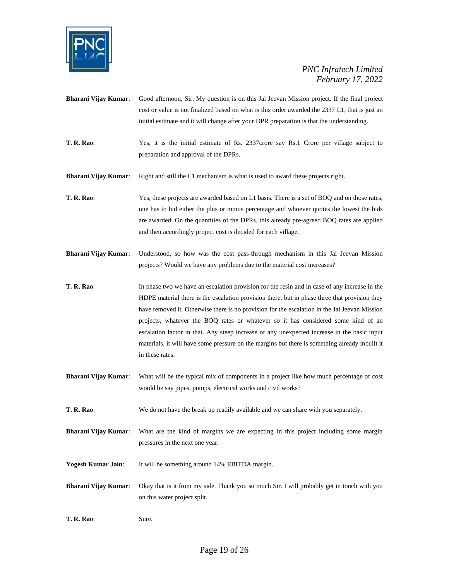

- **Bharani Vijay Kumar**: Good afternoon, Sir. My question is on this Jal Jeevan Mission project. If the final project cost or value is not finalized based on what is this order awarded the 2337 L1, that is just an initial estimate and it will change after your DPR preparation is that the understanding.
- **T. R. Rao**: Yes, it is the initial estimate of Rs. 2337crore say Rs.1 Crore per village subject to preparation and approval of the DPRs.
- **Bharani Vijay Kumar**: Right and still the L1 mechanism is what is used to award these projects right.

**T. R. Rao**: Yes, these projects are awarded based on L1 basis. There is a set of BOQ and on those rates, one has to bid either the plus or minus percentage and whoever quotes the lowest the bids are awarded. On the quantities of the DPRs, this already pre-agreed BOQ rates are applied and then accordingly project cost is decided for each village.

- **Bharani Vijay Kumar**: Understood, so how was the cost pass-through mechanism in this Jal Jeevan Mission projects? Would we have any problems due to the material cost increases?
- **T. R. Rao**: In phase two we have an escalation provision for the resin and in case of any increase in the HDPE material there is the escalation provision there, but in phase three that provision they have removed it. Otherwise there is no provision for the escalation in the Jal Jeevan Mission projects, whatever the BOQ rates or whatever so it has considered some kind of an escalation factor in that. Any steep increase or any unexpected increase in the basic input materials, it will have some pressure on the margins but there is something already inbuilt it in these rates.
- **Bharani Vijay Kumar**: What will be the typical mix of components in a project like how much percentage of cost would be say pipes, pumps, electrical works and civil works?
- **T. R. Rao**: We do not have the break up readily available and we can share with you separately.
- **Bharani Vijay Kumar**: What are the kind of margins we are expecting in this project including some margin pressures in the next one year.
- Yogesh Kumar Jain: It will be something around 14% EBITDA margin.
- **Bharani Vijay Kumar**: Okay that is it from my side. Thank you so much Sir. I will probably get in touch with you on this water project split.
- **T. R. Rao**: Sure.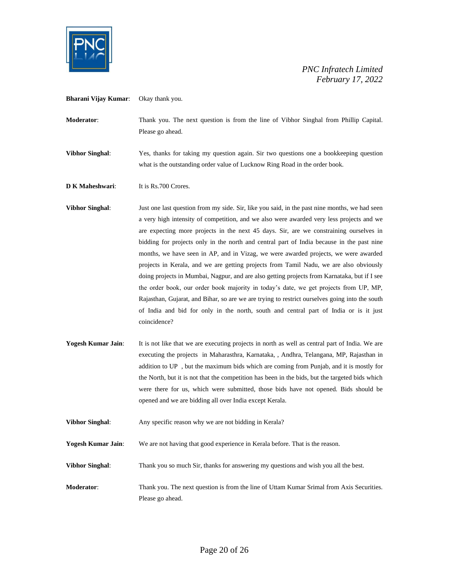

**Bharani Vijay Kumar**: Okay thank you.

**Moderator**: Thank you. The next question is from the line of Vibhor Singhal from Phillip Capital. Please go ahead.

**Vibhor Singhal**: Yes, thanks for taking my question again. Sir two questions one a bookkeeping question what is the outstanding order value of Lucknow Ring Road in the order book.

**D K Maheshwari:** It is Rs.700 Crores.

**Vibhor Singhal:** Just one last question from my side. Sir, like you said, in the past nine months, we had seen a very high intensity of competition, and we also were awarded very less projects and we are expecting more projects in the next 45 days. Sir, are we constraining ourselves in bidding for projects only in the north and central part of India because in the past nine months, we have seen in AP, and in Vizag, we were awarded projects, we were awarded projects in Kerala, and we are getting projects from Tamil Nadu, we are also obviously doing projects in Mumbai, Nagpur, and are also getting projects from Karnataka, but if I see the order book, our order book majority in today's date, we get projects from UP, MP, Rajasthan, Gujarat, and Bihar, so are we are trying to restrict ourselves going into the south of India and bid for only in the north, south and central part of India or is it just coincidence?

Yogesh Kumar Jain: It is not like that we are executing projects in north as well as central part of India. We are executing the projects in Maharasthra, Karnataka, , Andhra, Telangana, MP, Rajasthan in addition to UP , but the maximum bids which are coming from Punjab, and it is mostly for the North, but it is not that the competition has been in the bids, but the targeted bids which were there for us, which were submitted, those bids have not opened. Bids should be opened and we are bidding all over India except Kerala.

**Vibhor Singhal:** Any specific reason why we are not bidding in Kerala?

**Yogesh Kumar Jain**: We are not having that good experience in Kerala before. That is the reason.

**Vibhor Singhal:** Thank you so much Sir, thanks for answering my questions and wish you all the best.

**Moderator**: Thank you. The next question is from the line of Uttam Kumar Srimal from Axis Securities. Please go ahead.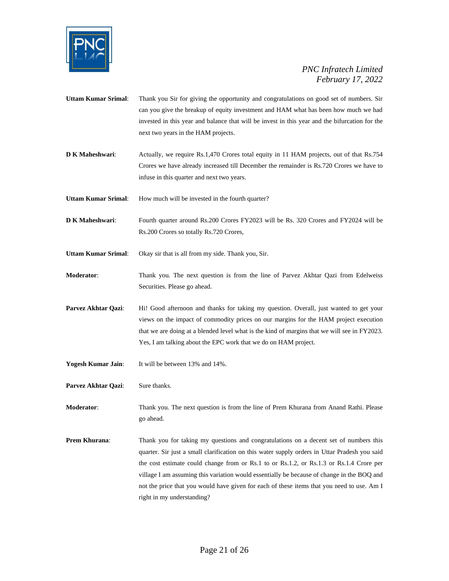

- **Uttam Kumar Srimal**: Thank you Sir for giving the opportunity and congratulations on good set of numbers. Sir can you give the breakup of equity investment and HAM what has been how much we had invested in this year and balance that will be invest in this year and the bifurcation for the next two years in the HAM projects.
- **D K Maheshwari:** Actually, we require Rs.1,470 Crores total equity in 11 HAM projects, out of that Rs.754 Crores we have already increased till December the remainder is Rs.720 Crores we have to infuse in this quarter and next two years.
- **Uttam Kumar Srimal:** How much will be invested in the fourth quarter?
- **D K Maheshwari:** Fourth quarter around Rs.200 Crores FY2023 will be Rs. 320 Crores and FY2024 will be Rs.200 Crores so totally Rs.720 Crores,
- **Uttam Kumar Srimal**: Okay sir that is all from my side. Thank you, Sir.
- **Moderator**: Thank you. The next question is from the line of Parvez Akhtar Qazi from Edelweiss Securities. Please go ahead.
- Parvez Akhtar Qazi: Hi! Good afternoon and thanks for taking my question. Overall, just wanted to get your views on the impact of commodity prices on our margins for the HAM project execution that we are doing at a blended level what is the kind of margins that we will see in FY2023. Yes, I am talking about the EPC work that we do on HAM project.
- **Yogesh Kumar Jain**: It will be between 13% and 14%.
- Parvez Akhtar Qazi: Sure thanks.
- **Moderator**: Thank you. The next question is from the line of Prem Khurana from Anand Rathi. Please go ahead.
- **Prem Khurana:** Thank you for taking my questions and congratulations on a decent set of numbers this quarter. Sir just a small clarification on this water supply orders in Uttar Pradesh you said the cost estimate could change from or Rs.1 to or Rs.1.2, or Rs.1.3 or Rs.1.4 Crore per village I am assuming this variation would essentially be because of change in the BOQ and not the price that you would have given for each of these items that you need to use. Am I right in my understanding?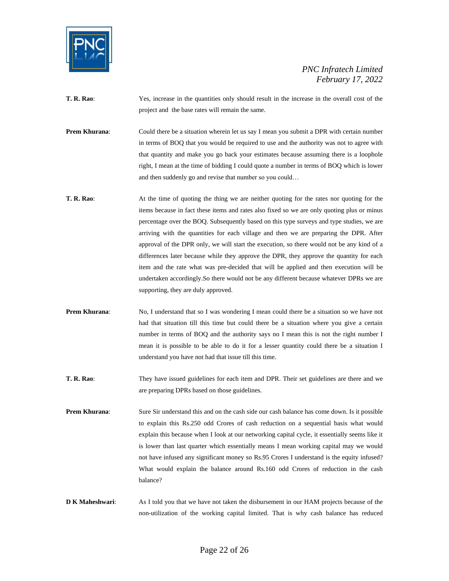

- **T. R. Rao:** Yes, increase in the quantities only should result in the increase in the overall cost of the project and the base rates will remain the same.
- **Prem Khurana:** Could there be a situation wherein let us say I mean you submit a DPR with certain number in terms of BOQ that you would be required to use and the authority was not to agree with that quantity and make you go back your estimates because assuming there is a loophole right, I mean at the time of bidding I could quote a number in terms of BOQ which is lower and then suddenly go and revise that number so you could…
- **T. R. Rao:** At the time of quoting the thing we are neither quoting for the rates nor quoting for the items because in fact these items and rates also fixed so we are only quoting plus or minus percentage over the BOQ. Subsequently based on this type surveys and type studies, we are arriving with the quantities for each village and then we are preparing the DPR. After approval of the DPR only, we will start the execution, so there would not be any kind of a differences later because while they approve the DPR, they approve the quantity for each item and the rate what was pre-decided that will be applied and then execution will be undertaken accordingly.So there would not be any different because whatever DPRs we are supporting, they are duly approved.
- **Prem Khurana:** No, I understand that so I was wondering I mean could there be a situation so we have not had that situation till this time but could there be a situation where you give a certain number in terms of BOQ and the authority says no I mean this is not the right number I mean it is possible to be able to do it for a lesser quantity could there be a situation I understand you have not had that issue till this time.
- **T. R. Rao**: They have issued guidelines for each item and DPR. Their set guidelines are there and we are preparing DPRs based on those guidelines.
- **Prem Khurana:** Sure Sir understand this and on the cash side our cash balance has come down. Is it possible to explain this Rs.250 odd Crores of cash reduction on a sequential basis what would explain this because when I look at our networking capital cycle, it essentially seems like it is lower than last quarter which essentially means I mean working capital may we would not have infused any significant money so Rs.95 Crores I understand is the equity infused? What would explain the balance around Rs.160 odd Crores of reduction in the cash balance?
- **D K Maheshwari:** As I told you that we have not taken the disbursement in our HAM projects because of the non-utilization of the working capital limited. That is why cash balance has reduced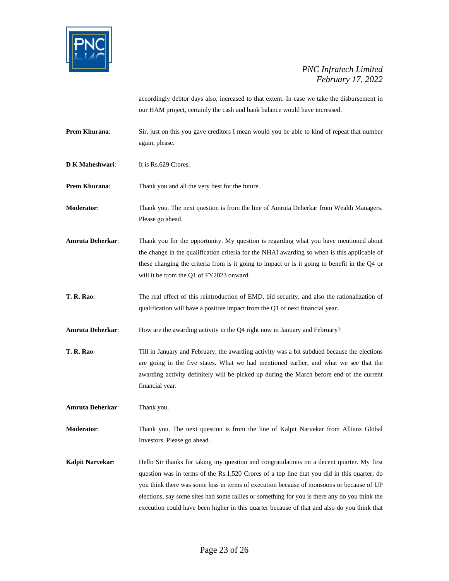

accordingly debtor days also, increased to that extent. In case we take the disbursement in our HAM project, certainly the cash and bank balance would have increased.

- **Prem Khurana:** Sir, just on this you gave creditors I mean would you be able to kind of repeat that number again, please.
- **D K Maheshwari:** It is Rs.629 Crores.

**Prem Khurana:** Thank you and all the very best for the future.

**Moderator**: Thank you. The next question is from the line of Amruta Deherkar from Wealth Managers. Please go ahead.

- **Amruta Deherkar**: Thank you for the opportunity. My question is regarding what you have mentioned about the change in the qualification criteria for the NHAI awarding so when is this applicable of these changing the criteria from is it going to impact or is it going to benefit in the Q4 or will it be from the Q1 of FY2023 onward.
- **T. R. Rao:** The real effect of this reintroduction of EMD, bid security, and also the rationalization of qualification will have a positive impact from the Q1 of next financial year.
- **Amruta Deherkar:** How are the awarding activity in the Q4 right now in January and February?
- **T. R. Rao**: Till in January and February, the awarding activity was a bit subdued because the elections are going in the five states. What we had mentioned earlier, and what we see that the awarding activity definitely will be picked up during the March before end of the current financial year.

**Amruta Deherkar**: Thank you.

**Moderator**: Thank you. The next question is from the line of Kalpit Narvekar from Allianz Global Investors. Please go ahead.

**Kalpit Narvekar:** Hello Sir thanks for taking my question and congratulations on a decent quarter. My first question was in terms of the Rs.1,520 Crores of a top line that you did in this quarter; do you think there was some loss in terms of execution because of monsoons or because of UP elections, say some sites had some rallies or something for you is there any do you think the execution could have been higher in this quarter because of that and also do you think that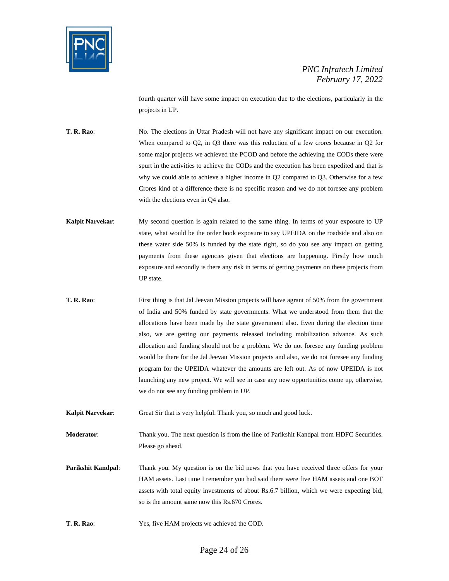

fourth quarter will have some impact on execution due to the elections, particularly in the projects in UP.

**T. R. Rao**: No. The elections in Uttar Pradesh will not have any significant impact on our execution. When compared to Q2, in Q3 there was this reduction of a few crores because in Q2 for some major projects we achieved the PCOD and before the achieving the CODs there were spurt in the activities to achieve the CODs and the execution has been expedited and that is why we could able to achieve a higher income in Q2 compared to Q3. Otherwise for a few Crores kind of a difference there is no specific reason and we do not foresee any problem with the elections even in Q4 also.

- **Kalpit Narvekar:** My second question is again related to the same thing. In terms of your exposure to UP state, what would be the order book exposure to say UPEIDA on the roadside and also on these water side 50% is funded by the state right, so do you see any impact on getting payments from these agencies given that elections are happening. Firstly how much exposure and secondly is there any risk in terms of getting payments on these projects from UP state.
- **T. R. Rao:** First thing is that Jal Jeevan Mission projects will have agrant of 50% from the government of India and 50% funded by state governments. What we understood from them that the allocations have been made by the state government also. Even during the election time also, we are getting our payments released including mobilization advance. As such allocation and funding should not be a problem. We do not foresee any funding problem would be there for the Jal Jeevan Mission projects and also, we do not foresee any funding program for the UPEIDA whatever the amounts are left out. As of now UPEIDA is not launching any new project. We will see in case any new opportunities come up, otherwise, we do not see any funding problem in UP.

**Kalpit Narvekar**: Great Sir that is very helpful. Thank you, so much and good luck.

**Moderator**: Thank you. The next question is from the line of Parikshit Kandpal from HDFC Securities. Please go ahead.

**Parikshit Kandpal:** Thank you. My question is on the bid news that you have received three offers for your HAM assets. Last time I remember you had said there were five HAM assets and one BOT assets with total equity investments of about Rs.6.7 billion, which we were expecting bid, so is the amount same now this Rs.670 Crores.

**T. R. Rao**: Yes, five HAM projects we achieved the COD.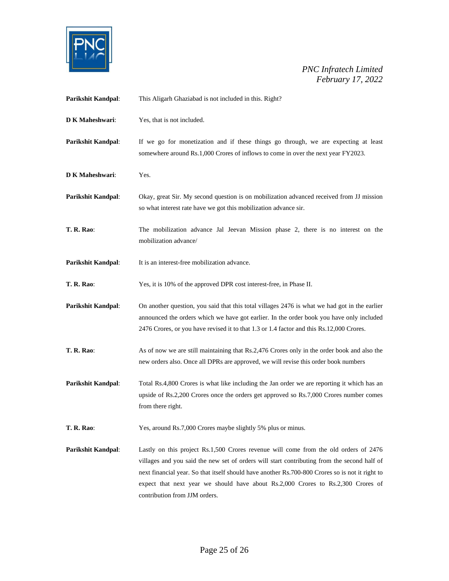

| Parikshit Kandpal:        | This Aligarh Ghaziabad is not included in this. Right?                                                                                                                                                                                                                                                                                                                                                      |
|---------------------------|-------------------------------------------------------------------------------------------------------------------------------------------------------------------------------------------------------------------------------------------------------------------------------------------------------------------------------------------------------------------------------------------------------------|
| D K Maheshwari:           | Yes, that is not included.                                                                                                                                                                                                                                                                                                                                                                                  |
| Parikshit Kandpal:        | If we go for monetization and if these things go through, we are expecting at least<br>somewhere around Rs.1,000 Crores of inflows to come in over the next year FY2023.                                                                                                                                                                                                                                    |
| D K Maheshwari:           | Yes.                                                                                                                                                                                                                                                                                                                                                                                                        |
| Parikshit Kandpal:        | Okay, great Sir. My second question is on mobilization advanced received from JJ mission<br>so what interest rate have we got this mobilization advance sir.                                                                                                                                                                                                                                                |
| <b>T. R. Rao:</b>         | The mobilization advance Jal Jeevan Mission phase 2, there is no interest on the<br>mobilization advance/                                                                                                                                                                                                                                                                                                   |
| Parikshit Kandpal:        | It is an interest-free mobilization advance.                                                                                                                                                                                                                                                                                                                                                                |
| <b>T. R. Rao:</b>         | Yes, it is 10% of the approved DPR cost interest-free, in Phase II.                                                                                                                                                                                                                                                                                                                                         |
| Parikshit Kandpal:        | On another question, you said that this total villages 2476 is what we had got in the earlier<br>announced the orders which we have got earlier. In the order book you have only included<br>2476 Crores, or you have revised it to that 1.3 or 1.4 factor and this Rs.12,000 Crores.                                                                                                                       |
| <b>T. R. Rao:</b>         | As of now we are still maintaining that Rs.2,476 Crores only in the order book and also the<br>new orders also. Once all DPRs are approved, we will revise this order book numbers                                                                                                                                                                                                                          |
| Parikshit Kandpal:        | Total Rs.4,800 Crores is what like including the Jan order we are reporting it which has an<br>upside of Rs.2,200 Crores once the orders get approved so Rs.7,000 Crores number comes<br>from there right.                                                                                                                                                                                                  |
| <b>T. R. Rao:</b>         | Yes, around Rs.7,000 Crores maybe slightly 5% plus or minus.                                                                                                                                                                                                                                                                                                                                                |
| <b>Parikshit Kandpal:</b> | Lastly on this project Rs.1,500 Crores revenue will come from the old orders of 2476<br>villages and you said the new set of orders will start contributing from the second half of<br>next financial year. So that itself should have another Rs.700-800 Crores so is not it right to<br>expect that next year we should have about Rs.2,000 Crores to Rs.2,300 Crores of<br>contribution from JJM orders. |